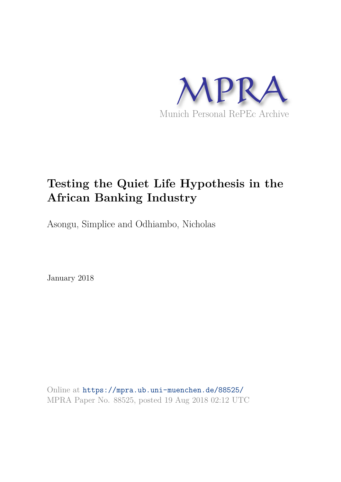

## **Testing the Quiet Life Hypothesis in the African Banking Industry**

Asongu, Simplice and Odhiambo, Nicholas

January 2018

Online at https://mpra.ub.uni-muenchen.de/88525/ MPRA Paper No. 88525, posted 19 Aug 2018 02:12 UTC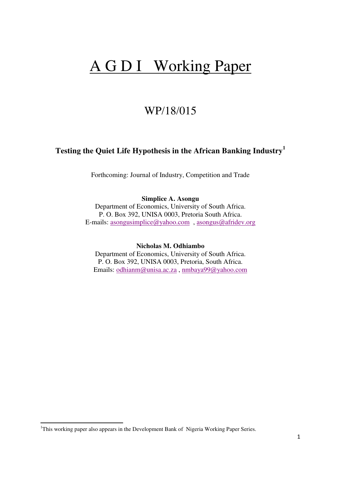# A G D I Working Paper

## WP/18/015

## **Testing the Quiet Life Hypothesis in the African Banking Industry<sup>1</sup>**

Forthcoming: Journal of Industry, Competition and Trade

#### **Simplice A. Asongu**

Department of Economics, University of South Africa. P. O. Box 392, UNISA 0003, Pretoria South Africa. E-mails: [asongusimplice@yahoo.com](mailto:asongusimplice@yahoo.com) , [asongus@afridev.org](mailto:asongus@afridev.org)

**Nicholas M. Odhiambo**

Department of Economics, University of South Africa. P. O. Box 392, UNISA 0003, Pretoria, South Africa. Emails: [odhianm@unisa.ac.za](mailto:odhianm@unisa.ac.za) , [nmbaya99@yahoo.com](mailto:nmbaya99@yahoo.com)

 $\overline{a}$ 

<sup>&</sup>lt;sup>1</sup>This working paper also appears in the Development Bank of Nigeria Working Paper Series.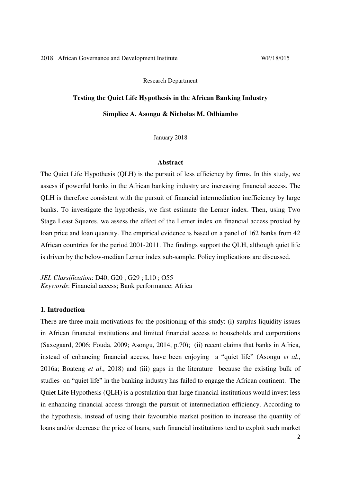Research Department

## **Testing the Quiet Life Hypothesis in the African Banking Industry**

#### **Simplice A. Asongu & Nicholas M. Odhiambo**

January 2018

#### **Abstract**

The Quiet Life Hypothesis (QLH) is the pursuit of less efficiency by firms. In this study, we assess if powerful banks in the African banking industry are increasing financial access. The QLH is therefore consistent with the pursuit of financial intermediation inefficiency by large banks. To investigate the hypothesis, we first estimate the Lerner index. Then, using Two Stage Least Squares, we assess the effect of the Lerner index on financial access proxied by loan price and loan quantity. The empirical evidence is based on a panel of 162 banks from 42 African countries for the period 2001-2011. The findings support the QLH, although quiet life is driven by the below-median Lerner index sub-sample. Policy implications are discussed.

*JEL Classification*: D40; G20 ; G29 ; L10 ; O55 *Keywords*: Financial access; Bank performance; Africa

#### **1. Introduction**

There are three main motivations for the positioning of this study: (i) surplus liquidity issues in African financial institutions and limited financial access to households and corporations (Saxegaard, 2006; Fouda, 2009; Asongu, 2014, p.70); (ii) recent claims that banks in Africa, instead of enhancing financial access, have been enjoying a "quiet life" (Asongu *et al*., 2016a; Boateng *et al*., 2018) and (iii) gaps in the literature because the existing bulk of studies on "quiet life" in the banking industry has failed to engage the African continent. The Quiet Life Hypothesis (QLH) is a postulation that large financial institutions would invest less in enhancing financial access through the pursuit of intermediation efficiency. According to the hypothesis, instead of using their favourable market position to increase the quantity of loans and/or decrease the price of loans, such financial institutions tend to exploit such market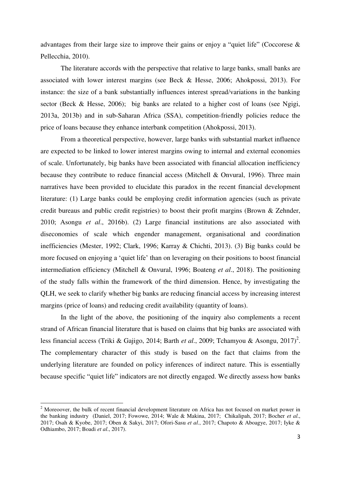advantages from their large size to improve their gains or enjoy a "quiet life" (Coccorese & Pellecchia, 2010).

 The literature accords with the perspective that relative to large banks, small banks are associated with lower interest margins (see Beck & Hesse, 2006; Ahokpossi, 2013). For instance: the size of a bank substantially influences interest spread/variations in the banking sector (Beck & Hesse, 2006); big banks are related to a higher cost of loans (see Ngigi, 2013a, 2013b) and in sub-Saharan Africa (SSA), competition-friendly policies reduce the price of loans because they enhance interbank competition (Ahokpossi, 2013).

 From a theoretical perspective, however, large banks with substantial market influence are expected to be linked to lower interest margins owing to internal and external economies of scale. Unfortunately, big banks have been associated with financial allocation inefficiency because they contribute to reduce financial access (Mitchell & Onvural, 1996). Three main narratives have been provided to elucidate this paradox in the recent financial development literature: (1) Large banks could be employing credit information agencies (such as private credit bureaus and public credit registries) to boost their profit margins (Brown & Zehnder, 2010; Asongu *et al*., 2016b). (2) Large financial institutions are also associated with diseconomies of scale which engender management, organisational and coordination inefficiencies (Mester, 1992; Clark, 1996; Karray & Chichti, 2013). (3) Big banks could be more focused on enjoying a 'quiet life' than on leveraging on their positions to boost financial intermediation efficiency (Mitchell & Onvural, 1996; Boateng *et al*., 2018). The positioning of the study falls within the framework of the third dimension. Hence, by investigating the QLH, we seek to clarify whether big banks are reducing financial access by increasing interest margins (price of loans) and reducing credit availability (quantity of loans).

In the light of the above, the positioning of the inquiry also complements a recent strand of African financial literature that is based on claims that big banks are associated with less financial access (Triki & Gajigo, 2014; Barth *et al.*, 2009; Tchamyou & Asongu, 2017)<sup>2</sup>. The complementary character of this study is based on the fact that claims from the underlying literature are founded on policy inferences of indirect nature. This is essentially because specific "quiet life" indicators are not directly engaged. We directly assess how banks

 $\overline{a}$ 

<sup>&</sup>lt;sup>2</sup> Moreoover, the bulk of recent financial development literature on Africa has not focused on market power in the banking industry (Daniel, 2017; Fowowe, 2014; Wale & Makina, 2017; Chikalipah, 2017; Bocher *et al*., 2017; Osah & Kyobe, 2017; Oben & Sakyi, 2017; Ofori-Sasu *et al*., 2017; Chapoto & Aboagye, 2017; Iyke & Odhiambo, 2017; Boadi *et al*., 2017).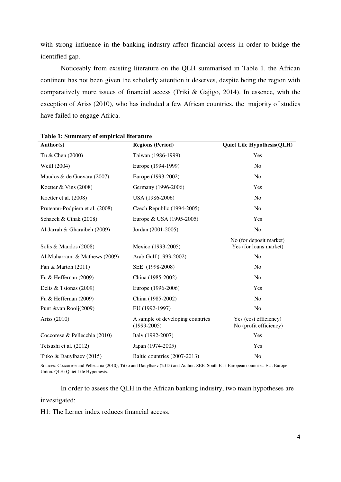with strong influence in the banking industry affect financial access in order to bridge the identified gap.

Noticeably from existing literature on the QLH summarised in Table 1, the African continent has not been given the scholarly attention it deserves, despite being the region with comparatively more issues of financial access (Triki & Gajigo, 2014). In essence, with the exception of Ariss (2010), who has included a few African countries, the majority of studies have failed to engage Africa.

| Author(s)                       | <b>Regions (Period)</b>                           | <b>Quiet Life Hypothesis(QLH)</b>                 |
|---------------------------------|---------------------------------------------------|---------------------------------------------------|
| Tu & Chen (2000)                | Taiwan (1986-1999)                                | Yes                                               |
| Weill (2004)                    | Europe (1994-1999)                                | No                                                |
| Maudos & de Guevara (2007)      | Europe (1993-2002)                                | N <sub>0</sub>                                    |
| Koetter & Vins $(2008)$         | Germany (1996-2006)                               | Yes                                               |
| Koetter et al. (2008)           | USA (1986-2006)                                   | No                                                |
| Pruteanu-Podpiera et al. (2008) | Czech Republic (1994-2005)                        | N <sub>0</sub>                                    |
| Schaeck & Cihak (2008)          | Europe & USA (1995-2005)                          | Yes                                               |
| Al-Jarrah & Gharaibeh (2009)    | Jordan (2001-2005)                                | N <sub>o</sub>                                    |
| Solis & Maudos (2008)           | Mexico (1993-2005)                                | No (for deposit market)<br>Yes (for loans market) |
| Al-Muharrami & Mathews (2009)   | Arab Gulf (1993-2002)                             | N <sub>0</sub>                                    |
| Fan & Marton $(2011)$           | SEE (1998-2008)                                   | N <sub>0</sub>                                    |
| Fu & Heffernan (2009)           | China (1985-2002)                                 | No                                                |
| Delis & Tsionas $(2009)$        | Europe (1996-2006)                                | Yes                                               |
| Fu & Heffernan (2009)           | China (1985-2002)                                 | N <sub>0</sub>                                    |
| Punt &van Rooij(2009)           | EU (1992-1997)                                    | N <sub>0</sub>                                    |
| Ariss (2010)                    | A sample of developing countries<br>$(1999-2005)$ | Yes (cost efficiency)<br>No (profit efficiency)   |
| Coccorese & Pellecchia (2010)   | Italy (1992-2007)                                 | Yes                                               |
| Tetsushi et al. (2012)          | Japan (1974-2005)                                 | Yes                                               |
| Titko & Dauylbaev (2015)        | Baltic countries (2007-2013)                      | N <sub>0</sub>                                    |

**Table 1: Summary of empirical literature** 

Sources: Coccorese and Pellecchia (2010); Titko and Dauylbaev (2015) and Author. SEE: South East European countries. EU: Europe Union. QLH: Quiet Life Hypothesis.

 In order to assess the QLH in the African banking industry, two main hypotheses are investigated:

H1: The Lerner index reduces financial access.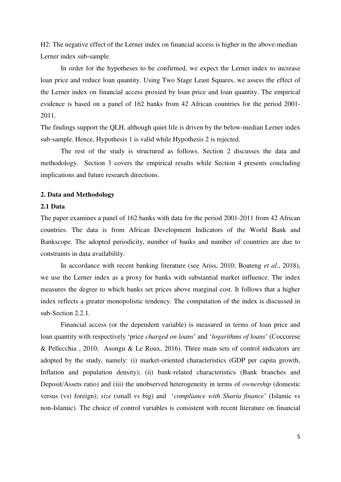H2: The negative effect of the Lerner index on financial access is higher in the above-median Lerner index sub-sample.

 In order for the hypotheses to be confirmed, we expect the Lerner index to increase loan price and reduce loan quantity. Using Two Stage Least Squares, we assess the effect of the Lerner index on financial access proxied by loan price and loan quantity. The empirical evidence is based on a panel of 162 banks from 42 African countries for the period 2001- 2011.

The findings support the QLH, although quiet life is driven by the below-median Lerner index sub-sample. Hence, Hypothesis 1 is valid while Hypothesis 2 is rejected.

The rest of the study is structured as follows. Section 2 discusses the data and methodology. Section 3 covers the empirical results while Section 4 presents concluding implications and future research directions.

#### **2. Data and Methodology**

#### **2.1 Data**

The paper examines a panel of 162 banks with data for the period 2001-2011 from 42 African countries. The data is from African Development Indicators of the World Bank and Bankscope. The adopted periodicity, number of banks and number of countries are due to constraints in data availability.

 In accordance with recent banking literature (see Ariss, 2010; Boateng *et al*., 2018), we use the Lerner index as a proxy for banks with substantial market influence. The index measures the degree to which banks set prices above marginal cost. It follows that a higher index reflects a greater monopolistic tendency. The computation of the index is discussed in sub-Section 2.2.1.

 Financial access (or the dependent variable) is measured in terms of loan price and loan quantity with respectively 'price *charged on loans*' and '*logarithms of loans*' (Coccorese & Pellecchia , 2010; Asongu & Le Roux, 2016). Three main sets of control indicators are adopted by the study, namely: (i) market-oriented characteristics (GDP per capita growth, Inflation and population density); (ii) bank-related characteristics (Bank branches and Deposit/Assets ratio) and (iii) the unobserved heterogeneity in terms of *ownership* (domestic versus (vs) foreign); *size* (small vs big) and '*compliance with Sharia finance*' (Islamic vs non-Islamic). The choice of control variables is consistent with recent literature on financial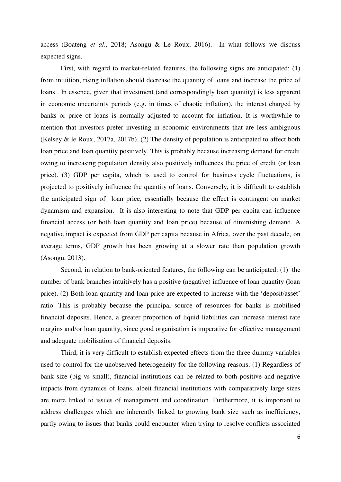access (Boateng *et al*., 2018; Asongu & Le Roux, 2016). In what follows we discuss expected signs.

 First, with regard to market-related features, the following signs are anticipated: (1) from intuition, rising inflation should decrease the quantity of loans and increase the price of loans . In essence, given that investment (and correspondingly loan quantity) is less apparent in economic uncertainty periods (e.g. in times of chaotic inflation), the interest charged by banks or price of loans is normally adjusted to account for inflation. It is worthwhile to mention that investors prefer investing in economic environments that are less ambiguous (Kelsey & le Roux, 2017a, 2017b). (2) The density of population is anticipated to affect both loan price and loan quantity positively. This is probably because increasing demand for credit owing to increasing population density also positively influences the price of credit (or loan price). (3) GDP per capita, which is used to control for business cycle fluctuations, is projected to positively influence the quantity of loans. Conversely, it is difficult to establish the anticipated sign of loan price, essentially because the effect is contingent on market dynamism and expansion. It is also interesting to note that GDP per capita can influence financial access (or both loan quantity and loan price) because of diminishing demand. A negative impact is expected from GDP per capita because in Africa, over the past decade, on average terms, GDP growth has been growing at a slower rate than population growth (Asongu, 2013).

 Second, in relation to bank-oriented features, the following can be anticipated: (1) the number of bank branches intuitively has a positive (negative) influence of loan quantity (loan price). (2) Both loan quantity and loan price are expected to increase with the 'deposit/asset' ratio. This is probably because the principal source of resources for banks is mobilised financial deposits. Hence, a greater proportion of liquid liabilities can increase interest rate margins and/or loan quantity, since good organisation is imperative for effective management and adequate mobilisation of financial deposits.

 Third, it is very difficult to establish expected effects from the three dummy variables used to control for the unobserved heterogeneity for the following reasons. (1) Regardless of bank size (big vs small), financial institutions can be related to both positive and negative impacts from dynamics of loans, albeit financial institutions with comparatively large sizes are more linked to issues of management and coordination. Furthermore, it is important to address challenges which are inherently linked to growing bank size such as inefficiency, partly owing to issues that banks could encounter when trying to resolve conflicts associated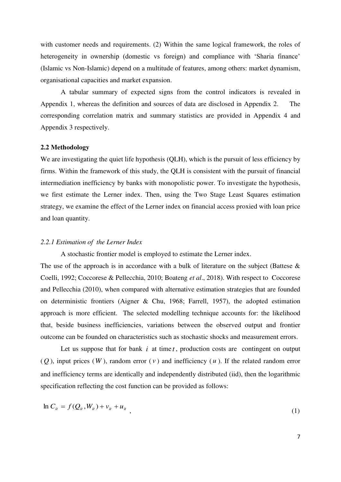with customer needs and requirements. (2) Within the same logical framework, the roles of heterogeneity in ownership (domestic vs foreign) and compliance with 'Sharia finance' (Islamic vs Non-Islamic) depend on a multitude of features, among others: market dynamism, organisational capacities and market expansion.

 A tabular summary of expected signs from the control indicators is revealed in Appendix 1, whereas the definition and sources of data are disclosed in Appendix 2. The corresponding correlation matrix and summary statistics are provided in Appendix 4 and Appendix 3 respectively.

#### **2.2 Methodology**

We are investigating the quiet life hypothesis (QLH), which is the pursuit of less efficiency by firms. Within the framework of this study, the QLH is consistent with the pursuit of financial intermediation inefficiency by banks with monopolistic power. To investigate the hypothesis, we first estimate the Lerner index. Then, using the Two Stage Least Squares estimation strategy, we examine the effect of the Lerner index on financial access proxied with loan price and loan quantity.

#### *2.2.1 Estimation of the Lerner Index*

A stochastic frontier model is employed to estimate the Lerner index.

The use of the approach is in accordance with a bulk of literature on the subject (Battese  $\&$ Coelli, 1992; Coccorese & Pellecchia, 2010; Boateng *et al*., 2018). With respect to Coccorese and Pellecchia (2010), when compared with alternative estimation strategies that are founded on deterministic frontiers (Aigner & Chu, 1968; Farrell, 1957), the adopted estimation approach is more efficient. The selected modelling technique accounts for: the likelihood that, beside business inefficiencies, variations between the observed output and frontier outcome can be founded on characteristics such as stochastic shocks and measurement errors.

Let us suppose that for bank  $i$  at time  $t$ , production costs are contingent on output  $(O)$ , input prices  $(W)$ , random error  $(V)$  and inefficiency  $(u)$ . If the related random error and inefficiency terms are identically and independently distributed (iid), then the logarithmic specification reflecting the cost function can be provided as follows:

$$
\ln C_{it} = f(Q_{it}, W_{it}) + v_{it} + u_{it} \tag{1}
$$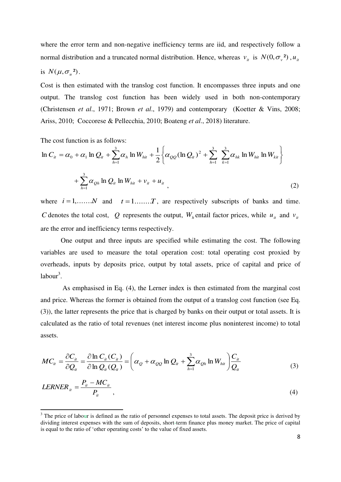where the error term and non-negative inefficiency terms are iid, and respectively follow a normal distribution and a truncated normal distribution. Hence, whereas  $v_i$  is  $N(0, \sigma_i^2)$ ,  $u_i$ 

is 
$$
N(\mu, \sigma_u^2)
$$
.

 $\overline{a}$ 

Cost is then estimated with the translog cost function. It encompasses three inputs and one output. The translog cost function has been widely used in both non-contemporary (Christensen *et al*., 1971; Brown *et al*., 1979) and contemporary (Koetter & Vins, 2008; Ariss, 2010; Coccorese & Pellecchia, 2010; Boateng *et al*., 2018) literature.

The cost function is as follows:

$$
\ln C_{ii} = \alpha_0 + \alpha_1 \ln Q_{ii} + \sum_{h=1}^{3} \alpha_h \ln W_{hit} + \frac{1}{2} \left\{ \alpha_{QQ} (\ln Q_{ii})^2 + \sum_{h=1}^{3} \sum_{k=1}^{3} \alpha_{hk} \ln W_{hit} \ln W_{kit} \right\} + \sum_{h=1}^{3} \alpha_{Qh} \ln Q_{ii} \ln W_{hit} + v_{ii} + u_{ii}
$$
\n(2)

where  $i = 1, \ldots, N$  and  $t = 1, \ldots, T$ , are respectively subscripts of banks and time. *C* denotes the total cost, Q represents the output,  $W_h$  entail factor prices, while  $u_i$  and  $v_i$ are the error and inefficiency terms respectively.

 One output and three inputs are specified while estimating the cost. The following variables are used to measure the total operation cost: total operating cost proxied by overheads, inputs by deposits price, output by total assets, price of capital and price of  $labor<sup>3</sup>$ .

 As emphasised in Eq. (4), the Lerner index is then estimated from the marginal cost and price. Whereas the former is obtained from the output of a translog cost function (see Eq. (3)), the latter represents the price that is charged by banks on their output or total assets. It is calculated as the ratio of total revenues (net interest income plus noninterest income) to total assets.

$$
MC_{ii} = \frac{\partial C_{ii}}{\partial Q_{ii}} = \frac{\partial \ln C_{ii}(C_{ii})}{\partial \ln Q_{ii}(Q_{ii})} = \left(\alpha_Q + \alpha_{QQ} \ln Q_{ii} + \sum_{h=1}^{3} \alpha_{Qh} \ln W_{hit}\right) \frac{C_{ii}}{Q_{ii}}
$$
(3)

$$
LERNER_{it} = \frac{P_{it} - MC_{it}}{P_{it}},\tag{4}
$$

 $3$  The price of labour is defined as the ratio of personnel expenses to total assets. The deposit price is derived by dividing interest expenses with the sum of deposits, short-term finance plus money market. The price of capital is equal to the ratio of 'other operating costs' to the value of fixed assets.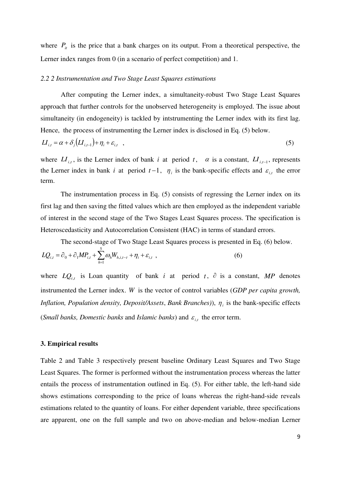where  $P_{it}$  is the price that a bank charges on its output. From a theoretical perspective, the Lerner index ranges from 0 (in a scenario of perfect competition) and 1.

#### *2.2 2 Instrumentation and Two Stage Least Squares estimations*

 After computing the Lerner index, a simultaneity-robust Two Stage Least Squares approach that further controls for the unobserved heterogeneity is employed. The issue about simultaneity (in endogeneity) is tackled by intstrumenting the Lerner index with its first lag. Hence, the process of instrumenting the Lerner index is disclosed in Eq. (5) below.

$$
LI_{i,t} = \alpha + \delta_j \left( LI_{i,t-1} \right) + \eta_i + \varepsilon_{i,t} \quad , \tag{5}
$$

where  $LI_{i,t}$ , is the Lerner index of bank *i* at period *t*,  $\alpha$  is a constant,  $LI_{i,t-1}$ , represents the Lerner index in bank *i* at period  $t-1$ ,  $\eta_i$  is the bank-specific effects and  $\varepsilon_{i,t}$  the error term.

 The instrumentation process in Eq. (5) consists of regressing the Lerner index on its first lag and then saving the fitted values which are then employed as the independent variable of interest in the second stage of the Two Stages Least Squares process. The specification is Heteroscedasticity and Autocorrelation Consistent (HAC) in terms of standard errors.

The second-stage of Two Stage Least Squares process is presented in Eq. (6) below.

$$
LQ_{i,t} = \partial_0 + \partial_1 MP_{i,t} + \sum_{h=1}^5 \omega_h W_{h,i,t-\tau} + \eta_i + \varepsilon_{i,t} \tag{6}
$$

where  $LQ_{i,t}$  is Loan quantity of bank *i* at period *t*,  $\partial$  is a constant, MP denotes instrumented the Lerner index. *W* is the vector of control variables (*GDP per capita growth, Inflation, Population density, Deposit/Assets, Bank Branches)),*  $\eta_i$  *is the bank-specific effects* (*Small banks, Domestic banks* and *Islamic banks*) and  $\varepsilon_{i,t}$  the error term.

#### **3. Empirical results**

Table 2 and Table 3 respectively present baseline Ordinary Least Squares and Two Stage Least Squares. The former is performed without the instrumentation process whereas the latter entails the process of instrumentation outlined in Eq. (5). For either table, the left-hand side shows estimations corresponding to the price of loans whereas the right-hand-side reveals estimations related to the quantity of loans. For either dependent variable, three specifications are apparent, one on the full sample and two on above-median and below-median Lerner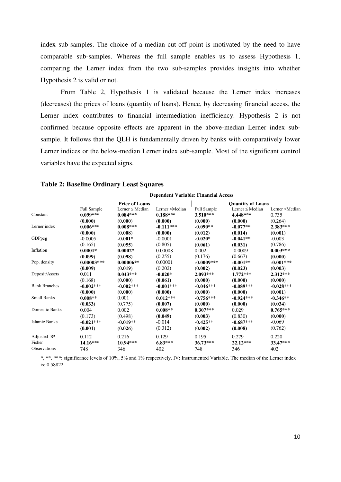index sub-samples. The choice of a median cut-off point is motivated by the need to have comparable sub-samples. Whereas the full sample enables us to assess Hypothesis 1, comparing the Lerner index from the two sub-samples provides insights into whether Hypothesis 2 is valid or not.

 From Table 2, Hypothesis 1 is validated because the Lerner index increases (decreases) the prices of loans (quantity of loans). Hence, by decreasing financial access, the Lerner index contributes to financial intermediation inefficiency. Hypothesis 2 is not confirmed because opposite effects are apparent in the above-median Lerner index subsample. It follows that the QLH is fundamentally driven by banks with comparatively lower Lerner indices or the below-median Lerner index sub-sample. Most of the significant control variables have the expected signs.

|                         | <b>Dependent Variable: Financial Access</b> |                      |                |                    |                          |                |  |  |  |
|-------------------------|---------------------------------------------|----------------------|----------------|--------------------|--------------------------|----------------|--|--|--|
|                         | <b>Price of Loans</b>                       |                      |                |                    | <b>Quantity of Loans</b> |                |  |  |  |
|                         | <b>Full Sample</b>                          | Lerner $\leq$ Median | Lerner >Median | <b>Full Sample</b> | Lerner $\leq$ Median     | Lerner >Median |  |  |  |
| Constant                | $0.099***$                                  | $0.084***$           | $0.188***$     | $3.510***$         | 4.448***                 | 0.735          |  |  |  |
|                         | (0.000)                                     | (0.000)              | (0.000)        | (0.000)            | (0.000)                  | (0.264)        |  |  |  |
| Lerner index            | $0.006***$                                  | $0.008***$           | $-0.111***$    | $-0.090**$         | $-0.077**$               | $2.383***$     |  |  |  |
|                         | (0.000)                                     | (0.008)              | (0.000)        | (0.012)            | (0.014)                  | (0.001)        |  |  |  |
| GDPpcg                  | $-0.0005$                                   | $-0.001*$            | $-0.0001$      | $-0.020*$          | $-0.041**$               | $-0.003$       |  |  |  |
|                         | (0.165)                                     | (0.055)              | (0.805)        | (0.061)            | (0.031)                  | (0.786)        |  |  |  |
| Inflation               | $0.0001*$                                   | $0.0002*$            | 0.00008        | 0.002              | $-0.0009$                | $0.003***$     |  |  |  |
|                         | (0.099)                                     | (0.098)              | (0.255)        | (0.176)            | (0.667)                  | (0.000)        |  |  |  |
| Pop. density            | $0.00003***$                                | $0.00006**$          | 0.00001        | $-0.0009***$       | $-0.001**$               | $-0.001***$    |  |  |  |
|                         | (0.009)                                     | (0.019)              | (0.202)        | (0.002)            | (0.023)                  | (0.003)        |  |  |  |
| Deposit/Assets          | 0.011                                       | $0.043***$           | $-0.020*$      | $2.093***$         | $1.772***$               | $2.312***$     |  |  |  |
|                         | (0.168)                                     | (0.000)              | (0.061)        | (0.000)            | (0.000)                  | (0.000)        |  |  |  |
| <b>Bank Branches</b>    | $-0.002***$                                 | $-0.002***$          | $-0.001***$    | $-0.046***$        | $-0.089***$              | $-0.028***$    |  |  |  |
|                         | (0.000)                                     | (0.000)              | (0.000)        | (0.000)            | (0.000)                  | (0.001)        |  |  |  |
| <b>Small Banks</b>      | $0.008**$                                   | 0.001                | $0.012***$     | $-0.756***$        | $-0.924***$              | $-0.346**$     |  |  |  |
|                         | (0.033)                                     | (0.775)              | (0.007)        | (0.000)            | (0.000)                  | (0.034)        |  |  |  |
| <b>Domestic Banks</b>   | 0.004                                       | 0.002                | $0.008**$      | $0.307***$         | 0.029                    | $0.765***$     |  |  |  |
|                         | (0.173)                                     | (0.498)              | (0.049)        | (0.003)            | (0.830)                  | (0.000)        |  |  |  |
| <b>Islamic Banks</b>    | $-0.021***$                                 | $-0.019**$           | $-0.014$       | $-0.425**$         | $-0.687***$              | $-0.069$       |  |  |  |
|                         | (0.001)                                     | (0.026)              | (0.312)        | (0.002)            | (0.008)                  | (0.762)        |  |  |  |
| Adjusted $\mathbb{R}^2$ | 0.112                                       | 0.216                | 0.129          | 0.195              | 0.279                    | 0.220          |  |  |  |
| Fisher                  | $14.16***$                                  | $10.94***$           | $6.83***$      | $36.73***$         | $22.12***$               | 33.47***       |  |  |  |
| Observations            | 748                                         | 346                  | 402            | 748                | 346                      | 402            |  |  |  |

#### **Table 2: Baseline Ordinary Least Squares**

\*, \*\*, \*\*\*: significance levels of 10%, 5% and 1% respectively. IV: Instrumented Variable. The median of the Lerner index is: 0.58822.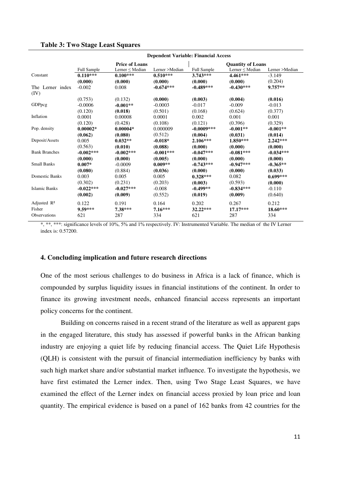#### **Table 3: Two Stage Least Squares**

|                          | <b>Dependent Variable: Financial Access</b> |                       |                |                    |                          |                |  |  |  |  |
|--------------------------|---------------------------------------------|-----------------------|----------------|--------------------|--------------------------|----------------|--|--|--|--|
|                          |                                             | <b>Price of Loans</b> |                |                    | <b>Quantity of Loans</b> |                |  |  |  |  |
|                          | <b>Full Sample</b>                          | Lerner $\leq$ Median  | Lerner >Median | <b>Full Sample</b> | Lerner $\leq$ Median     | Lerner >Median |  |  |  |  |
| Constant                 | $0.110***$                                  | $0.100***$            | $0.510***$     | $3.743***$         | $4.461***$               | $-3.149$       |  |  |  |  |
|                          | (0.000)                                     | (0.000)               | (0.000)        | (0.000)            | (0.000)                  | (0.204)        |  |  |  |  |
| The Lerner index<br>(IV) | $-0.002$                                    | 0.008                 | $-0.674***$    | $-0.489***$        | $-0.430***$              | $9.757**$      |  |  |  |  |
|                          | (0.753)                                     | (0.132)               | (0.000)        | (0.003)            | (0.004)                  | (0.016)        |  |  |  |  |
| GDPpcg                   | $-0.0006$                                   | $-0.001**$            | $-0.0003$      | $-0.017$           | $-0.009$                 | $-0.013$       |  |  |  |  |
|                          | (0.120)                                     | (0.018)               | (0.501)        | (0.168)            | (0.624)                  | (0.377)        |  |  |  |  |
| Inflation                | 0.0001                                      | 0.00008               | 0.0001         | 0.002              | 0.001                    | 0.001          |  |  |  |  |
|                          | (0.120)                                     | (0.428)               | (0.108)        | (0.121)            | (0.396)                  | (0.329)        |  |  |  |  |
| Pop. density             | $0.00002*$                                  | $0.00004*$            | 0.000009       | $-0.0009***$       | $-0.001**$               | $-0.001**$     |  |  |  |  |
|                          | (0.062)                                     | (0.080)               | (0.512)        | (0.004)            | (0.031)                  | (0.014)        |  |  |  |  |
| Deposit/Assets           | 0.005                                       | $0.032**$             | $-0.018*$      | $2.106***$         | $1.850***$               | $2.242***$     |  |  |  |  |
|                          | (0.563)                                     | (0.010)               | (0.088)        | (0.000)            | (0.000)                  | (0.000)        |  |  |  |  |
| <b>Bank Branches</b>     | $-0.002***$                                 | $-0.002***$           | $-0.001***$    | $-0.047***$        | $-0.081***$              | $-0.034***$    |  |  |  |  |
|                          | (0.000)                                     | (0.000)               | (0.005)        | (0.000)            | (0.000)                  | (0.000)        |  |  |  |  |
| <b>Small Banks</b>       | $0.007*$                                    | $-0.0009$             | $0.009**$      | $-0.743***$        | $-0.947***$              | $-0.365**$     |  |  |  |  |
|                          | (0.080)                                     | (0.884)               | (0.036)        | (0.000)            | (0.000)                  | (0.033)        |  |  |  |  |
| <b>Domestic Banks</b>    | 0.003                                       | 0.005                 | 0.005          | $0.328***$         | 0.082                    | $0.699***$     |  |  |  |  |
|                          | (0.302)                                     | (0.231)               | (0.203)        | (0.003)            | (0.593)                  | (0.000)        |  |  |  |  |
| <b>Islamic Banks</b>     | $-0.022***$                                 | $-0.027***$           | $-0.008$       | $-0.499**$         | $-0.834***$              | $-0.110$       |  |  |  |  |
|                          | (0.002)                                     | (0.009)               | (0.552)        | (0.019)            | (0.009)                  | (0.640)        |  |  |  |  |
| Adjusted $\mathbb{R}^2$  | 0.122                                       | 0.191                 | 0.164          | 0.202              | 0.267                    | 0.212          |  |  |  |  |
| Fisher                   | 9.59***                                     | 7.38***               | $7.16***$      | 32.22***           | $17.17***$               | $18.60***$     |  |  |  |  |
| <b>Observations</b>      | 621                                         | 287                   | 334            | 621                | 287                      | 334            |  |  |  |  |

\*, \*\*, \*\*\*: significance levels of 10%, 5% and 1% respectively. IV: Instrumented Variable. The median of the IV Lerner index is: 0.57200.

#### **4. Concluding implication and future research directions**

One of the most serious challenges to do business in Africa is a lack of finance, which is compounded by surplus liquidity issues in financial institutions of the continent. In order to finance its growing investment needs, enhanced financial access represents an important policy concerns for the continent.

Building on concerns raised in a recent strand of the literature as well as apparent gaps in the engaged literature, this study has assessed if powerful banks in the African banking industry are enjoying a quiet life by reducing financial access. The Quiet Life Hypothesis (QLH) is consistent with the pursuit of financial intermediation inefficiency by banks with such high market share and/or substantial market influence. To investigate the hypothesis, we have first estimated the Lerner index. Then, using Two Stage Least Squares, we have examined the effect of the Lerner index on financial access proxied by loan price and loan quantity. The empirical evidence is based on a panel of 162 banks from 42 countries for the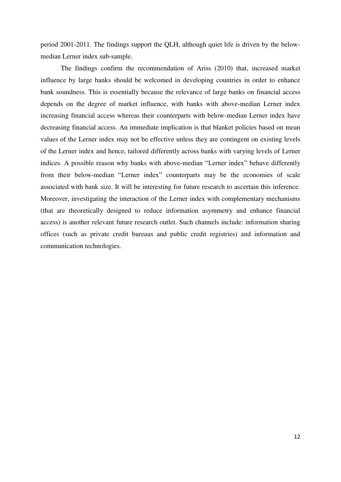period 2001-2011. The findings support the QLH, although quiet life is driven by the belowmedian Lerner index sub-sample.

 The findings confirm the recommendation of Ariss (2010) that, increased market influence by large banks should be welcomed in developing countries in order to enhance bank soundness. This is essentially because the relevance of large banks on financial access depends on the degree of market influence, with banks with above-median Lerner index increasing financial access whereas their counterparts with below-median Lerner index have decreasing financial access. An immediate implication is that blanket policies based on mean values of the Lerner index may not be effective unless they are contingent on existing levels of the Lerner index and hence, tailored differently across banks with varying levels of Lerner indices. A possible reason why banks with above-median "Lerner index" behave differently from their below-median "Lerner index" counterparts may be the economies of scale associated with bank size. It will be interesting for future research to ascertain this inference. Moreover, investigating the interaction of the Lerner index with complementary mechanisms (that are theoretically designed to reduce information asymmetry and enhance financial access) is another relevant future research outlet. Such channels include: information sharing offices (such as private credit bureaus and public credit registries) and information and communication technologies.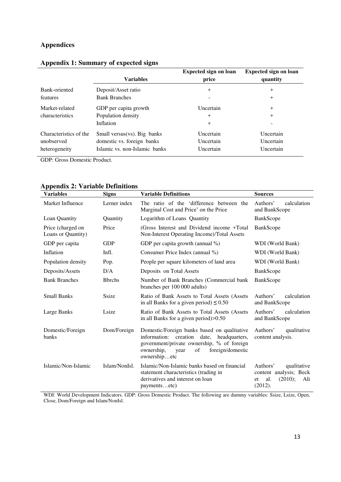#### **Appendices**

|                        | <b>Variables</b>                | <b>Expected sign on loan</b><br>price | <b>Expected sign on loan</b><br>quantity |
|------------------------|---------------------------------|---------------------------------------|------------------------------------------|
| Bank-oriented          | Deposit/Asset ratio             | $^{+}$                                | $+$                                      |
| <i>features</i>        | <b>Bank Branches</b>            |                                       | $^{+}$                                   |
| Market-related         | GDP per capita growth           | Uncertain                             | $+$                                      |
| characteristics        | Population density              | $^{+}$                                | $^{+}$                                   |
|                        | Inflation                       | $\overline{+}$                        |                                          |
| Characteristics of the | Small versus( $vs$ ). Big banks | Uncertain                             | Uncertain                                |
| unobserved             | domestic vs. foreign banks      | Uncertain                             | Uncertain                                |
| heterogeneity          | Islamic vs. non-Islamic banks   | Uncertain                             | Uncertain                                |

### **Appendix 1: Summary of expected signs**

GDP: Gross Domestic Product.

| Variables                               | <b>Signs</b>   | <b>Variable Definitions</b>                                                                                                                                                                               | <b>Sources</b>                                                                              |
|-----------------------------------------|----------------|-----------------------------------------------------------------------------------------------------------------------------------------------------------------------------------------------------------|---------------------------------------------------------------------------------------------|
| Market Influence                        | Lerner index   | The ratio of the 'difference between the<br>Marginal Cost and Price' on the Price                                                                                                                         | Authors'<br>calculation<br>and BankScope                                                    |
| Loan Quantity                           | Quantity       | Logarithm of Loans Quantity                                                                                                                                                                               | BankScope                                                                                   |
| Price (charged on<br>Loans or Quantity) | Price          | (Gross Interest and Dividend income +Total)<br>Non-Interest Operating Income)/Total Assets                                                                                                                | <b>BankScope</b>                                                                            |
| GDP per capita                          | <b>GDP</b>     | GDP per capita growth (annual $\%$ )                                                                                                                                                                      | WDI (World Bank)                                                                            |
| Inflation                               | Infl.          | Consumer Price Index (annual %)                                                                                                                                                                           | WDI (World Bank)                                                                            |
| Population density                      | Pop.           | People per square kilometers of land area                                                                                                                                                                 | WDI (World Bank)                                                                            |
| Deposits/Assets                         | D/A            | Deposits on Total Assets                                                                                                                                                                                  | BankScope                                                                                   |
| <b>Bank Branches</b>                    | <b>B</b> brchs | Number of Bank Branches (Commercial bank<br>branches per 100 000 adults)                                                                                                                                  | BankScope                                                                                   |
| <b>Small Banks</b>                      | Ssize          | Ratio of Bank Assets to Total Assets (Assets<br>in all Banks for a given period) $\leq 0.50$                                                                                                              | Authors'<br>calculation<br>and BankScope                                                    |
| Large Banks                             | Lsize          | Ratio of Bank Assets to Total Assets (Assets)<br>in all Banks for a given period $>0.50$                                                                                                                  | Authors'<br>calculation<br>and BankScope                                                    |
| Domestic/Foreign<br>banks               | Dom/Foreign    | Domestic/Foreign banks based on qualitative<br>information: creation date,<br>headquarters,<br>government/private ownership, % of foreign<br>foreign/domestic<br>ownership,<br>of<br>year<br>ownershipetc | qualitative<br>Authors'<br>content analysis.                                                |
| Islamic/Non-Islamic                     | Islam/NonIsl.  | Islamic/Non-Islamic banks based on financial<br>statement characteristics (trading in<br>derivatives and interest on loan<br>paymentsetc)                                                                 | Authors'<br>qualitative<br>content analysis; Beck<br>(2010);<br>al.<br>Ali<br>et<br>(2012). |

#### **Appendix 2: Variable Definitions**

WDI: World Development Indicators. GDP: Gross Domestic Product. The following are dummy variables: Ssize, Lsize, Open, Close, Dom/Foreign and Islam/NonIsl.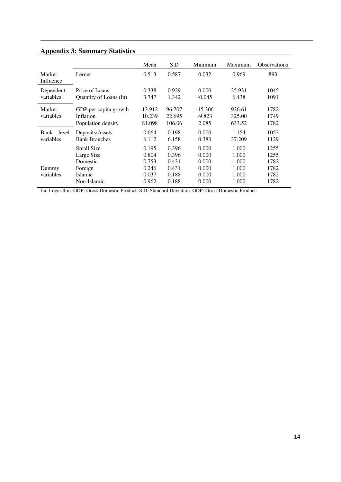| <b>Appendix 3: Summary Statistics</b> |  |  |
|---------------------------------------|--|--|
|                                       |  |  |

|                            |                                                                                  | Mean                                               | S.D                                                | Minimum                                            | Maximum                                            | <b>Observations</b>                          |
|----------------------------|----------------------------------------------------------------------------------|----------------------------------------------------|----------------------------------------------------|----------------------------------------------------|----------------------------------------------------|----------------------------------------------|
| Market<br>Influence        | Lerner                                                                           | 0.513                                              | 0.587                                              | 0.032                                              | 0.969                                              | 893                                          |
| Dependent<br>variables     | Price of Loans<br>Quantity of Loans (ln)                                         | 0.338<br>3.747                                     | 0.929<br>1.342                                     | 0.000<br>$-0.045$                                  | 25.931<br>6.438                                    | 1045<br>1091                                 |
| Market<br>variables        | GDP per capita growth<br>Inflation<br>Population density                         | 13.912<br>10.239<br>81.098                         | 96.707<br>22.695<br>106.06                         | $-15.306$<br>$-9.823$<br>2.085                     | 926.61<br>325.00<br>633.52                         | 1782<br>1749<br>1782                         |
| level<br>Bank<br>variables | Deposits/Assets<br><b>Bank Branches</b>                                          | 0.664<br>6.112                                     | 0.198<br>6.158                                     | 0.000<br>0.383                                     | 1.154<br>37.209                                    | 1052<br>1129                                 |
| Dummy<br>variables         | Small Size<br>Large Size<br>Domestic<br>Foreign<br><b>Islamic</b><br>Non-Islamic | 0.195<br>0.804<br>0.753<br>0.246<br>0.037<br>0.962 | 0.396<br>0.396<br>0.431<br>0.431<br>0.188<br>0.188 | 0.000<br>0.000<br>0.000<br>0.000<br>0.000<br>0.000 | 1.000<br>1.000<br>1.000<br>1.000<br>1.000<br>1.000 | 1255<br>1255<br>1782<br>1782<br>1782<br>1782 |

<u> 1980 - Johann Barbara, martxa a</u>

Ln: Logarithm. GDP: Gross Domestic Product. S.D: Standard Deviation. GDP: Gross Domestic Product.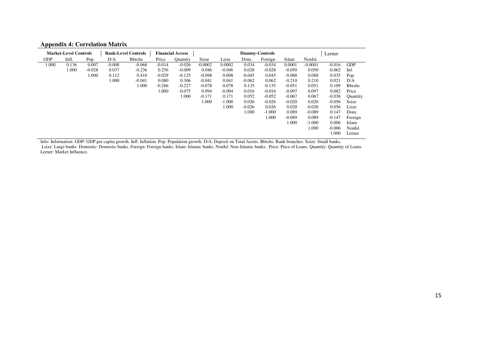| <b>Appendix 4: Correlation Matrix</b> |  |  |
|---------------------------------------|--|--|
|---------------------------------------|--|--|

|            | <b>Market-Level Controls</b> |          |          | <b>Bank-Level Controls</b> |          | <b>Financial Access</b> |           |          |          | <b>Dummy-Controls</b> |          |           | Lerner   |                |
|------------|------------------------------|----------|----------|----------------------------|----------|-------------------------|-----------|----------|----------|-----------------------|----------|-----------|----------|----------------|
| <b>GDP</b> | Infl.                        | Pop.     | D/A      | <b>B</b> brchs             | Price    | <b>Quantity</b>         | Ssize     | Lsize    | Dom.     | Foreign               | Islam    | NonIsl.   |          |                |
| 1.000      | 0.136                        | 0.007    | $-0.008$ | $-0.068$                   | $-0.014$ | $-0.026$                | $-0.0002$ | 0.0002   | 0.034    | $-0.034$              | 0.0001   | $-0.0001$ | $-0.016$ | <b>GDP</b>     |
|            | 1.000                        | $-0.028$ | 0.037    | $-0.236$                   | 0.256    | $-0.009$                | 0.046     | $-0.046$ | 0.028    | $-0.028$              | $-0.050$ | 0.050     | $-0.062$ | Inf.           |
|            |                              | 1.000    | 0.112    | 0.410                      | $-0.029$ | $-0.125$                | $-0.098$  | 0.098    | $-0.045$ | 0.045                 | $-0.088$ | 0.088     | 0.035    | Pop.           |
|            |                              |          | 1.000    | $-0.041$                   | 0.080    | 0.306                   | $-0.041$  | 0.041    | $-0.062$ | 0.062                 | $-0.210$ | 0.210     | 0.021    | D/A            |
|            |                              |          |          | 1.000                      | $-0.266$ | $-0.227$                | $-0.078$  | 0.078    | 0.135    | $-0.135$              | $-0.051$ | 0.051     | 0.109    | <b>B</b> brchs |
|            |                              |          |          |                            | 1.000    | $-0.075$                | 0.094     | $-0.094$ | 0.016    | $-0.016$              | $-0.097$ | 0.097     | 0.082    | Price          |
|            |                              |          |          |                            |          | 1.000                   | $-0.171$  | 0.171    | 0.052    | $-0.052$              | $-0.067$ | 0.067     | $-0.038$ | Quantity       |
|            |                              |          |          |                            |          |                         | 1.000     | $-1.000$ | 0.026    | $-0.026$              | $-0.020$ | 0.020     | $-0.056$ | Ssize          |
|            |                              |          |          |                            |          |                         |           | 1.000    | $-0.026$ | 0.026                 | 0.020    | $-0.020$  | 0.056    | Lsize          |
|            |                              |          |          |                            |          |                         |           |          | 1.000    | $-1.000$              | 0.089    | $-0.089$  | 0.147    | Dom.           |
|            |                              |          |          |                            |          |                         |           |          |          | 1.000                 | $-0.089$ | 0.089     | $-0.147$ | Foreign        |
|            |                              |          |          |                            |          |                         |           |          |          |                       | 1.000    | $-1.000$  | 0.006    | Islam          |
|            |                              |          |          |                            |          |                         |           |          |          |                       |          | 1.000     | $-0.006$ | NonIsl.        |
|            |                              |          |          |                            |          |                         |           |          |          |                       |          |           | 1.000    | Lerner         |

Info: Information. GDP: GDP per capita growth. Infl: Inflation. Pop: Population growth. D/A: Deposit on Total Assets. Bbrchs: Bank branches. Szize: Small banks. Lsize: Large banks. Domestic: Domestic banks. Foreign: Foreign banks. Islam: Islamic banks. NonIsl: Non-Islamic banks. Price: Price of Loans. Quantity: Quantity of Loans. Lerner: Market Influence.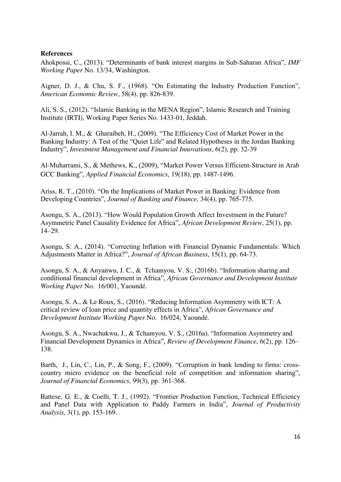#### **References**

Ahokpossi, C., (2013). "Determinants of bank interest margins in Sub-Saharan Africa", *IMF Working Paper* No. 13/34, Washington.

Aigner, D. J., & Chu, S. F., (1968). "On Estimating the Industry Production Function", *American Economic Review*, 58(4), pp. 826-839.

Ali, S. S., (2012). "Islamic Banking in the MENA Region", Islamic Research and Training Institute (IRTI), Working Paper Series No. 1433-01, Jeddah.

Al-Jarrah, I. M., & Gharaibeh, H., (2009). "The Efficiency Cost of Market Power in the Banking Industry: A Test of the "Quiet Life" and Related Hypotheses in the Jordan Banking Industry", *Investment Management and Financial Innovations*, 6(2), pp. 32-39

Al-Muharrami, S., & Methews, K., (2009), "Market Power Versus Efficient-Structure in Arab GCC Banking", *Applied Financial Economics*, 19(18), pp. 1487-1496.

Ariss, R. T., (2010). "On the Implications of Market Power in Banking: Evidence from Developing Countries", *Journal of Banking and Finance*, 34(4), pp. 765-775.

Asongu, S. A., (2013). "How Would Population Growth Affect Investment in the Future? Asymmetric Panel Causality Evidence for Africa", *African Development Review*, 25(1), pp. 14–29.

Asongu, S. A., (2014). "Correcting Inflation with Financial Dynamic Fundamentals: Which Adjustments Matter in Africa?", *Journal of African Business*, 15(1), pp. 64-73.

Asongu, S. A., & Anyanwu, J. C., & Tchamyou, V. S., (2016b). "Information sharing and conditional financial development in Africa", *African Governance and Development Institute Working Paper* No. 16/001, Yaoundé.

Asongu, S. A., & Le Roux, S., (2016). "Reducing Information Asymmetry with ICT: A critical review of loan price and quantity effects in Africa", *African Governance and Development Institute Working Paper* No. 16/024, Yaoundé.

Asongu, S. A., Nwachukwu, J., & Tchamyou, V. S., (2016a). "Information Asymmetry and Financial Development Dynamics in Africa", *Review of Development Finance,* 6(2), pp. 126– 138.

Barth, J., Lin, C., Lin, P., & Song, F., (2009). "Corruption in bank lending to firms: crosscountry micro evidence on the beneficial role of competition and information sharing", *Journal of Financial Economics*, 99(3), pp. 361-368.

Battese, G. E., & Coelli, T. J., (1992). "Frontier Production Function, Technical Efficiency and Panel Data with Application to Paddy Farmers in India", *Journal of Productivity Analysis*, 3(1), pp. 153-169.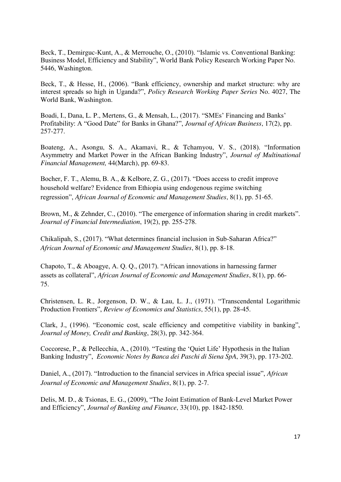Beck, T., Demirguc-Kunt, A., & Merrouche, O., (2010). "Islamic vs. Conventional Banking: Business Model, Efficiency and Stability", World Bank Policy Research Working Paper No. 5446, Washington.

Beck, T., & Hesse, H., (2006). "Bank efficiency, ownership and market structure: why are interest spreads so high in Uganda?", *Policy Research Working Paper Series* No. 4027, The World Bank, Washington.

Boadi, I., Dana, L. P., Mertens, G., & Mensah, L., (2017). "SMEs' Financing and Banks' Profitability: A "Good Date" for Banks in Ghana?", *Journal of African Business*, 17(2), pp. 257-277.

Boateng, A., Asongu, S. A., Akamavi, R., & Tchamyou, V. S., (2018). "Information Asymmetry and Market Power in the African Banking Industry", *Journal of Multinational Financial Management,* 44(March), pp. 69-83.

Bocher, F. T., Alemu, B. A., & Kelbore, Z. G., (2017). "Does access to credit improve household welfare? Evidence from Ethiopia using endogenous regime switching regression", *African Journal of Economic and Management Studies*, 8(1), pp. 51-65.

Brown, M., & Zehnder, C., (2010). "The emergence of information sharing in credit markets". *Journal of Financial Intermediation*, 19(2), pp. 255-278.

Chikalipah, S., (2017). "What determines financial inclusion in Sub-Saharan Africa?" *African Journal of Economic and Management Studies*, 8(1), pp. 8-18.

Chapoto, T., & Aboagye, A. Q. Q., (2017). "African innovations in harnessing farmer assets as collateral", *African Journal of Economic and Management Studies*, 8(1), pp. 66- 75.

Christensen, L. R., Jorgenson, D. W., & Lau, L. J., (1971). "Transcendental Logarithmic Production Frontiers", *Review of Economics and Statistics*, 55(1), pp. 28-45.

Clark, J., (1996). "Economic cost, scale efficiency and competitive viability in banking", *Journal of Money, Credit and Banking*, 28(3), pp. 342-364.

Coccorese, P., & Pellecchia, A., (2010). "Testing the 'Quiet Life' Hypothesis in the Italian Banking Industry", *Economic Notes by Banca dei Paschi di Siena SpA*, 39(3), pp. 173-202.

Daniel, A., (2017). "Introduction to the financial services in Africa special issue", *African Journal of Economic and Management Studies*, 8(1), pp. 2-7.

Delis, M. D., & Tsionas, E. G., (2009), "The Joint Estimation of Bank-Level Market Power and Efficiency", *Journal of Banking and Finance*, 33(10), pp. 1842-1850.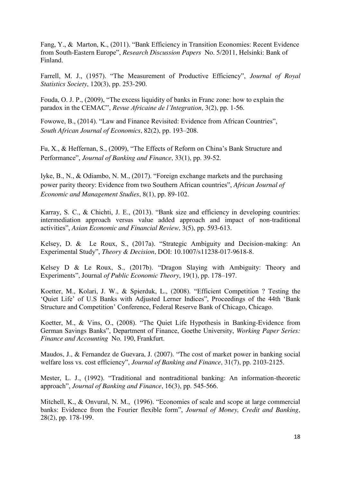Fang, Y., & Marton, K., (2011). "Bank Efficiency in Transition Economies: Recent Evidence from South-Eastern Europe", *Research Discussion Papers* No. 5/2011, Helsinki: Bank of Finland.

Farrell, M. J., (1957). "The Measurement of Productive Efficiency", *Journal of Royal Statistics Society*, 120(3), pp. 253-290.

Fouda, O. J. P., (2009), "The excess liquidity of banks in Franc zone: how to explain the paradox in the CEMAC", *Revue Africaine de l'Integration*, 3(2), pp. 1-56.

Fowowe, B., (2014). "Law and Finance Revisited: Evidence from African Countries", *South African Journal of Economics*, 82(2), pp. 193–208.

Fu, X., & Heffernan, S., (2009), "The Effects of Reform on China's Bank Structure and Performance", *Journal of Banking and Finance*, 33(1), pp. 39-52.

Iyke, B., N., & Odiambo, N. M., (2017). "Foreign exchange markets and the purchasing power parity theory: Evidence from two Southern African countries", *African Journal of Economic and Management Studies*, 8(1), pp. 89-102.

Karray, S. C., & Chichti, J. E., (2013). "Bank size and efficiency in developing countries: intermediation approach versus value added approach and impact of non-traditional activities", *Asian Economic and Financial Review*, 3(5), pp. 593-613.

Kelsey, D. & Le Roux, S., (2017a). "Strategic Ambiguity and Decision-making: An Experimental Study", *Theory & Decision*, DOI: 10.1007/s11238-017-9618-8.

Kelsey D & Le Roux, S., (2017b). "Dragon Slaying with Ambiguity: Theory and Experiments", Journal *of Public Economic Theory*, 19(1), pp. 178–197.

Koetter, M., Kolari, J. W., & Spierduk, L., (2008). "Efficient Competition ? Testing the 'Quiet Life' of U.S Banks with Adjusted Lerner Indices", Proceedings of the 44th 'Bank Structure and Competition' Conference, Federal Reserve Bank of Chicago, Chicago.

Koetter, M., & Vins, O., (2008). "The Quiet Life Hypothesis in Banking-Evidence from German Savings Banks", Department of Finance, Goethe University, *Working Paper Series: Finance and Accounting* No. 190, Frankfurt.

Maudos, J., & Fernandez de Guevara, J. (2007). "The cost of market power in banking social welfare loss vs. cost efficiency", *Journal of Banking and Finance*, 31(7), pp. 2103-2125.

Mester, L. J., (1992). "Traditional and nontraditional banking: An information-theoretic approach", *Journal of Banking and Finance*, 16(3), pp. 545-566.

Mitchell, K., & Onvural, N. M., (1996). "Economies of scale and scope at large commercial banks: Evidence from the Fourier flexible form", *Journal of Money, Credit and Banking*, 28(2), pp. 178-199.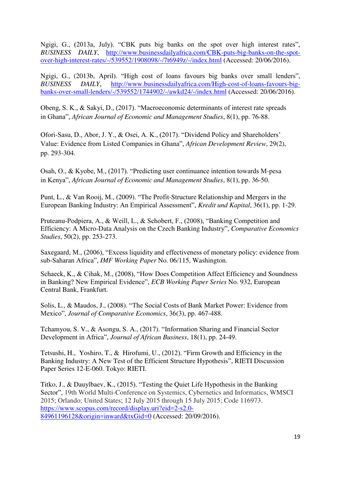Ngigi, G., (2013a, July). "CBK puts big banks on the spot over high interest rates", *BUSINESS DAILY*, [http://www.businessdailyafrica.com/CBK-puts-big-banks-on-the-spot](http://www.businessdailyafrica.com/CBK-puts-big-banks-on-the-spot-over-high-interest-rates/-/539552/1908098/-/7t6949z/-/index.html)[over-high-interest-rates/-/539552/1908098/-/7t6949z/-/index.html](http://www.businessdailyafrica.com/CBK-puts-big-banks-on-the-spot-over-high-interest-rates/-/539552/1908098/-/7t6949z/-/index.html) (Accessed: 20/06/2016).

Ngigi, G., (2013b, April). "High cost of loans favours big banks over small lenders", *BUSINESS DAILY*, [http://www.businessdailyafrica.com/High-cost-of-loans-favours-big](http://www.businessdailyafrica.com/High-cost-of-loans-favours-big-banks-over-small-lenders/-/539552/1744902/-/awkd24/-/index.html)[banks-over-small-lenders/-/539552/1744902/-/awkd24/-/index.html](http://www.businessdailyafrica.com/High-cost-of-loans-favours-big-banks-over-small-lenders/-/539552/1744902/-/awkd24/-/index.html) (Accessed: 20/06/2016).

Obeng, S. K., & Sakyi, D., (2017). "Macroeconomic determinants of interest rate spreads in Ghana", *African Journal of Economic and Management Studies*, 8(1), pp. 76-88.

Ofori-Sasu, D., Abor, J. Y., & Osei, A. K., (2017). "Dividend Policy and Shareholders' Value: Evidence from Listed Companies in Ghana", *African Development Review*, 29(2), pp. 293-304.

Osah, O., & Kyobe, M., (2017). "Predicting user continuance intention towards M-pesa in Kenya", *African Journal of Economic and Management Studies*, 8(1), pp. 36-50.

Punt, L., & Van Rooij, M., (2009). "The Profit-Structure Relationship and Mergers in the European Banking Industry: An Empirical Assessment", *Kredit und Kapital*, 36(1), pp. 1-29.

Pruteanu-Podpiera, A., & Weill, L., & Schobert, F., (2008), "Banking Competition and Efficiency: A Micro-Data Analysis on the Czech Banking Industry", *Comparative Economics Studies*, 50(2), pp. 253-273.

Saxegaard, M., (2006), "Excess liquidity and effectiveness of monetary policy: evidence from sub-Saharan Africa", *IMF Working Paper* No. 06/115, Washington.

Schaeck, K., & Cihak, M., (2008), "How Does Competition Affect Efficiency and Soundness in Banking? New Empirical Evidence", *ECB Working Paper Series* No. 932, European Central Bank, Frankfurt.

Solis, L., & Maudos, J., (2008). "The Social Costs of Bank Market Power: Evidence from Mexico", *Journal of Comparative Economics*, 36(3), pp. 467-488.

Tchamyou, S. V., & Asongu, S. A., (2017). "Information Sharing and Financial Sector Development in Africa", *Journal of African Business*, 18(1), pp. 24-49.

Tetsushi, H., Yoshiro, T., & Hirofumi, U., (2012). "Firm Growth and Efficiency in the Banking Industry: A New Test of the Efficient Structure Hypothesis", RIETI Discussion Paper Series 12-E-060. Tokyo: RIETI.

Titko, J., & Dauylbaev, K., (2015). "Testing the Quiet Life Hypothesis in the Banking Sector", 19th World Multi-Conference on Systemics, Cybernetics and Informatics, WMSCI 2015; Orlando; United States; 12 July 2015 through 15 July 2015; Code 116973. [https://www.scopus.com/record/display.uri?eid=2-s2.0-](https://www.scopus.com/record/display.uri?eid=2-s2.0-84961196128&origin=inward&txGid=0) [84961196128&origin=inward&txGid=0](https://www.scopus.com/record/display.uri?eid=2-s2.0-84961196128&origin=inward&txGid=0) (Accessed: 20/09/2016).